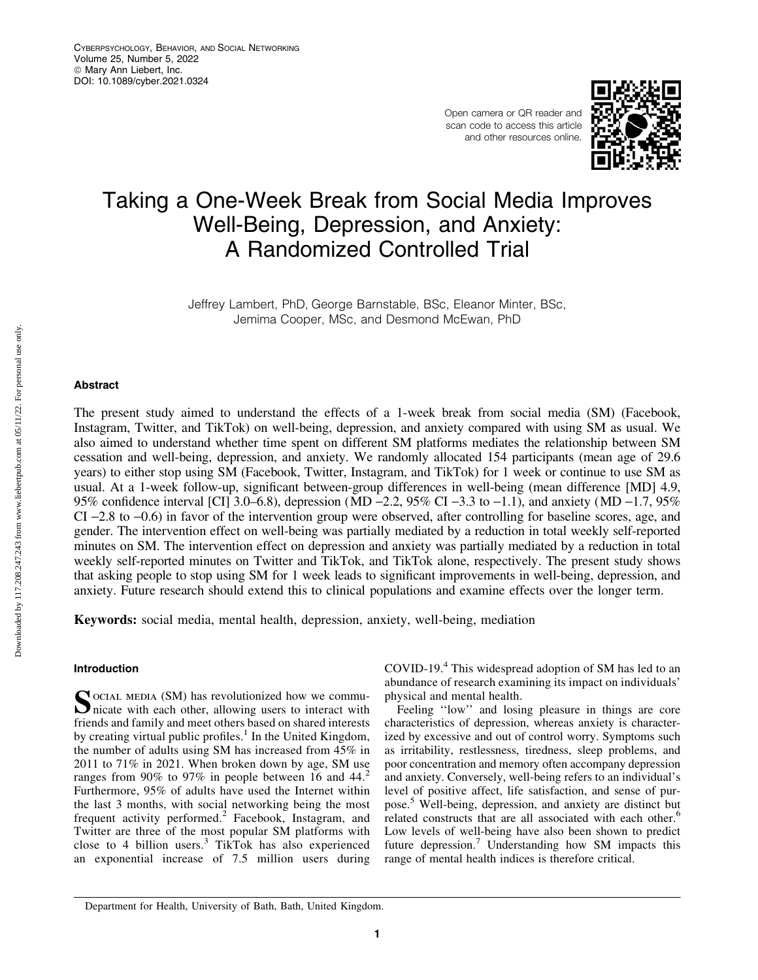Open camera or QR reader and scan code to access this article and other resources online.



# Taking a One-Week Break from Social Media Improves Well-Being, Depression, and Anxiety: A Randomized Controlled Trial

Jeffrey Lambert, PhD, George Barnstable, BSc, Eleanor Minter, BSc, Jemima Cooper, MSc, and Desmond McEwan, PhD

## Abstract

The present study aimed to understand the effects of a 1-week break from social media (SM) (Facebook, Instagram, Twitter, and TikTok) on well-being, depression, and anxiety compared with using SM as usual. We also aimed to understand whether time spent on different SM platforms mediates the relationship between SM cessation and well-being, depression, and anxiety. We randomly allocated 154 participants (mean age of 29.6 years) to either stop using SM (Facebook, Twitter, Instagram, and TikTok) for 1 week or continue to use SM as usual. At a 1-week follow-up, significant between-group differences in well-being (mean difference [MD] 4.9, 95% confidence interval [CI] 3.0–6.8), depression (MD  $-2.2$ , 95% CI  $-3.3$  to  $-1.1$ ), and anxiety (MD  $-1.7$ , 95% CI -2.8 to -0.6) in favor of the intervention group were observed, after controlling for baseline scores, age, and gender. The intervention effect on well-being was partially mediated by a reduction in total weekly self-reported minutes on SM. The intervention effect on depression and anxiety was partially mediated by a reduction in total weekly self-reported minutes on Twitter and TikTok, and TikTok alone, respectively. The present study shows that asking people to stop using SM for 1 week leads to significant improvements in well-being, depression, and anxiety. Future research should extend this to clinical populations and examine effects over the longer term.

Keywords: social media, mental health, depression, anxiety, well-being, mediation

# Introduction

SOCIAL MEDIA (SM) has revolutionized how we commu-<br>nicate with each other, allowing users to interact with friends and family and meet others based on shared interests by creating virtual public profiles.<sup>1</sup> In the United Kingdom, the number of adults using SM has increased from 45% in 2011 to 71% in 2021. When broken down by age, SM use ranges from 90% to 97% in people between 16 and 44.<sup>2</sup> Furthermore, 95% of adults have used the Internet within the last 3 months, with social networking being the most frequent activity performed.<sup>2</sup> Facebook, Instagram, and Twitter are three of the most popular SM platforms with close to 4 billion users.<sup>3</sup> TikTok has also experienced an exponential increase of 7.5 million users during COVID-19.<sup>4</sup> This widespread adoption of SM has led to an abundance of research examining its impact on individuals' physical and mental health.

Feeling "low" and losing pleasure in things are core characteristics of depression, whereas anxiety is characterized by excessive and out of control worry. Symptoms such as irritability, restlessness, tiredness, sleep problems, and poor concentration and memory often accompany depression and anxiety. Conversely, well-being refers to an individual's level of positive affect, life satisfaction, and sense of purpose.<sup>5</sup> Well-being, depression, and anxiety are distinct but related constructs that are all associated with each other.<sup>6</sup> Low levels of well-being have also been shown to predict future depression.<sup>7</sup> Understanding how SM impacts this range of mental health indices is therefore critical.

Department for Health, University of Bath, Bath, United Kingdom.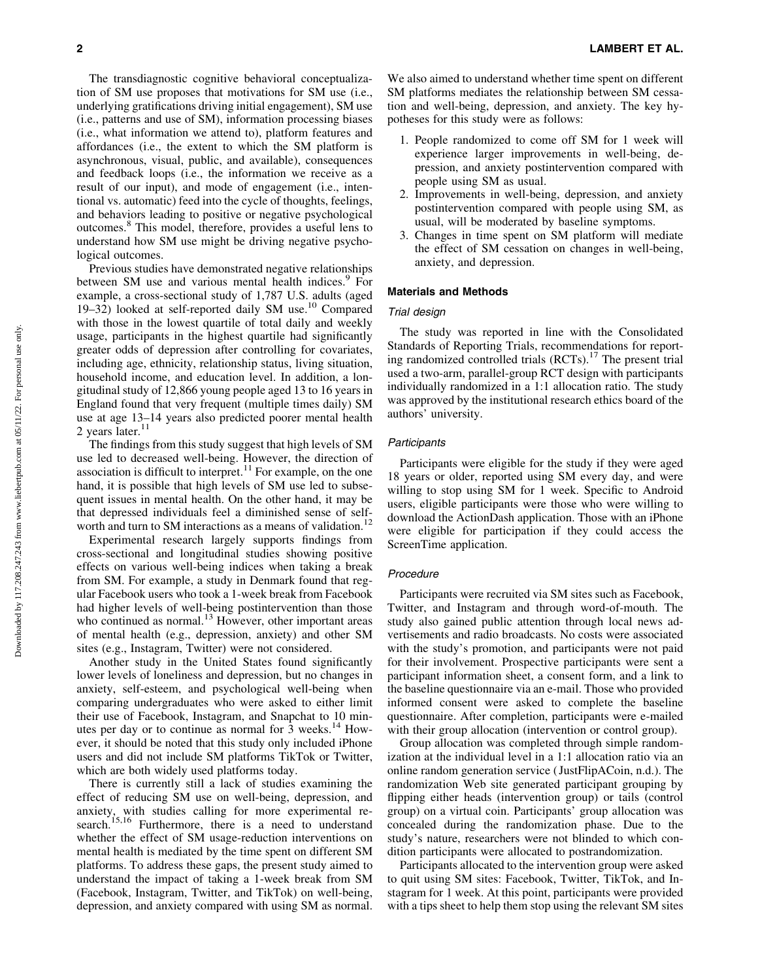The transdiagnostic cognitive behavioral conceptualization of SM use proposes that motivations for SM use (i.e., underlying gratifications driving initial engagement), SM use (i.e., patterns and use of SM), information processing biases (i.e., what information we attend to), platform features and affordances (i.e., the extent to which the SM platform is asynchronous, visual, public, and available), consequences and feedback loops (i.e., the information we receive as a result of our input), and mode of engagement (i.e., intentional vs. automatic) feed into the cycle of thoughts, feelings, and behaviors leading to positive or negative psychological outcomes.<sup>8</sup> This model, therefore, provides a useful lens to understand how SM use might be driving negative psychological outcomes.

Previous studies have demonstrated negative relationships between SM use and various mental health indices.<sup>9</sup> For example, a cross-sectional study of 1,787 U.S. adults (aged 19–32) looked at self-reported daily SM use.<sup>10</sup> Compared with those in the lowest quartile of total daily and weekly usage, participants in the highest quartile had significantly greater odds of depression after controlling for covariates, including age, ethnicity, relationship status, living situation, household income, and education level. In addition, a longitudinal study of 12,866 young people aged 13 to 16 years in England found that very frequent (multiple times daily) SM use at age 13–14 years also predicted poorer mental health 2 years later. $11$ 

The findings from this study suggest that high levels of SM use led to decreased well-being. However, the direction of association is difficult to interpret.<sup>11</sup> For example, on the one hand, it is possible that high levels of SM use led to subsequent issues in mental health. On the other hand, it may be that depressed individuals feel a diminished sense of selfworth and turn to SM interactions as a means of validation.<sup>12</sup>

Experimental research largely supports findings from cross-sectional and longitudinal studies showing positive effects on various well-being indices when taking a break from SM. For example, a study in Denmark found that regular Facebook users who took a 1-week break from Facebook had higher levels of well-being postintervention than those who continued as normal. $13$  However, other important areas of mental health (e.g., depression, anxiety) and other SM sites (e.g., Instagram, Twitter) were not considered.

Another study in the United States found significantly lower levels of loneliness and depression, but no changes in anxiety, self-esteem, and psychological well-being when comparing undergraduates who were asked to either limit their use of Facebook, Instagram, and Snapchat to 10 minutes per day or to continue as normal for  $\bar{3}$  weeks.<sup>14</sup> However, it should be noted that this study only included iPhone users and did not include SM platforms TikTok or Twitter, which are both widely used platforms today.

There is currently still a lack of studies examining the effect of reducing SM use on well-being, depression, and anxiety, with studies calling for more experimental research.<sup>15,16</sup> Furthermore, there is a need to understand whether the effect of SM usage-reduction interventions on mental health is mediated by the time spent on different SM platforms. To address these gaps, the present study aimed to understand the impact of taking a 1-week break from SM (Facebook, Instagram, Twitter, and TikTok) on well-being, depression, and anxiety compared with using SM as normal. We also aimed to understand whether time spent on different SM platforms mediates the relationship between SM cessation and well-being, depression, and anxiety. The key hypotheses for this study were as follows:

- 1. People randomized to come off SM for 1 week will experience larger improvements in well-being, depression, and anxiety postintervention compared with people using SM as usual.
- 2. Improvements in well-being, depression, and anxiety postintervention compared with people using SM, as usual, will be moderated by baseline symptoms.
- 3. Changes in time spent on SM platform will mediate the effect of SM cessation on changes in well-being, anxiety, and depression.

# Materials and Methods

# Trial design

The study was reported in line with the Consolidated Standards of Reporting Trials, recommendations for reporting randomized controlled trials (RCTs).<sup>17</sup> The present trial used a two-arm, parallel-group RCT design with participants individually randomized in a 1:1 allocation ratio. The study was approved by the institutional research ethics board of the authors' university.

## **Participants**

Participants were eligible for the study if they were aged 18 years or older, reported using SM every day, and were willing to stop using SM for 1 week. Specific to Android users, eligible participants were those who were willing to download the ActionDash application. Those with an iPhone were eligible for participation if they could access the ScreenTime application.

#### Procedure

Participants were recruited via SM sites such as Facebook, Twitter, and Instagram and through word-of-mouth. The study also gained public attention through local news advertisements and radio broadcasts. No costs were associated with the study's promotion, and participants were not paid for their involvement. Prospective participants were sent a participant information sheet, a consent form, and a link to the baseline questionnaire via an e-mail. Those who provided informed consent were asked to complete the baseline questionnaire. After completion, participants were e-mailed with their group allocation (intervention or control group).

Group allocation was completed through simple randomization at the individual level in a 1:1 allocation ratio via an online random generation service ( JustFlipACoin, n.d.). The randomization Web site generated participant grouping by flipping either heads (intervention group) or tails (control group) on a virtual coin. Participants' group allocation was concealed during the randomization phase. Due to the study's nature, researchers were not blinded to which condition participants were allocated to postrandomization.

Participants allocated to the intervention group were asked to quit using SM sites: Facebook, Twitter, TikTok, and Instagram for 1 week. At this point, participants were provided with a tips sheet to help them stop using the relevant SM sites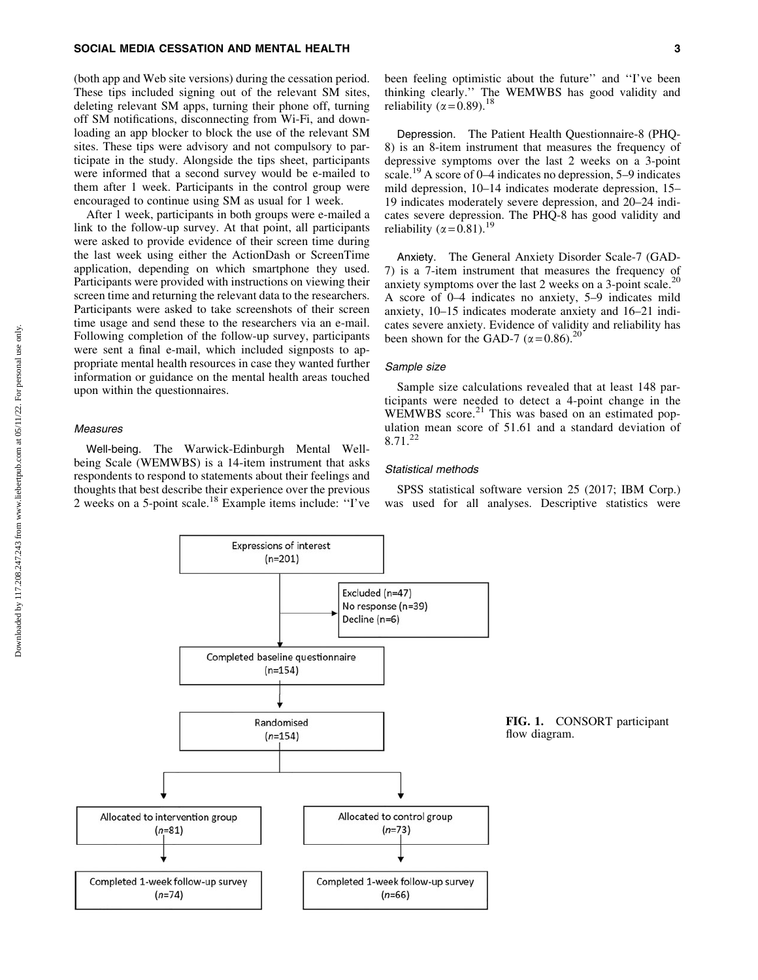# SOCIAL MEDIA CESSATION AND MENTAL HEALTH 3

(both app and Web site versions) during the cessation period. These tips included signing out of the relevant SM sites, deleting relevant SM apps, turning their phone off, turning off SM notifications, disconnecting from Wi-Fi, and downloading an app blocker to block the use of the relevant SM sites. These tips were advisory and not compulsory to participate in the study. Alongside the tips sheet, participants were informed that a second survey would be e-mailed to them after 1 week. Participants in the control group were encouraged to continue using SM as usual for 1 week.

After 1 week, participants in both groups were e-mailed a link to the follow-up survey. At that point, all participants were asked to provide evidence of their screen time during the last week using either the ActionDash or ScreenTime application, depending on which smartphone they used. Participants were provided with instructions on viewing their screen time and returning the relevant data to the researchers. Participants were asked to take screenshots of their screen time usage and send these to the researchers via an e-mail. Following completion of the follow-up survey, participants were sent a final e-mail, which included signposts to appropriate mental health resources in case they wanted further information or guidance on the mental health areas touched upon within the questionnaires.

# **Measures**

Well-being. The Warwick-Edinburgh Mental Wellbeing Scale (WEMWBS) is a 14-item instrument that asks respondents to respond to statements about their feelings and thoughts that best describe their experience over the previous 2 weeks on a 5-point scale.<sup>18</sup> Example items include: ''I've

Depression. The Patient Health Questionnaire-8 (PHQ-8) is an 8-item instrument that measures the frequency of depressive symptoms over the last 2 weeks on a 3-point scale.<sup>19</sup> A score of 0–4 indicates no depression, 5–9 indicates mild depression, 10–14 indicates moderate depression, 15– 19 indicates moderately severe depression, and 20–24 indicates severe depression. The PHQ-8 has good validity and reliability ( $\alpha = 0.81$ ).<sup>19</sup>

Anxiety. The General Anxiety Disorder Scale-7 (GAD-7) is a 7-item instrument that measures the frequency of anxiety symptoms over the last 2 weeks on a 3-point scale.<sup>20</sup> A score of 0–4 indicates no anxiety, 5–9 indicates mild anxiety, 10–15 indicates moderate anxiety and 16–21 indicates severe anxiety. Evidence of validity and reliability has been shown for the GAD-7 ( $\alpha$  = 0.86).<sup>20</sup>

# Sample size

Sample size calculations revealed that at least 148 participants were needed to detect a 4-point change in the WEMWBS score. $^{21}$  This was based on an estimated population mean score of 51.61 and a standard deviation of 8.71.<sup>22</sup>

# Statistical methods

SPSS statistical software version 25 (2017; IBM Corp.) was used for all analyses. Descriptive statistics were

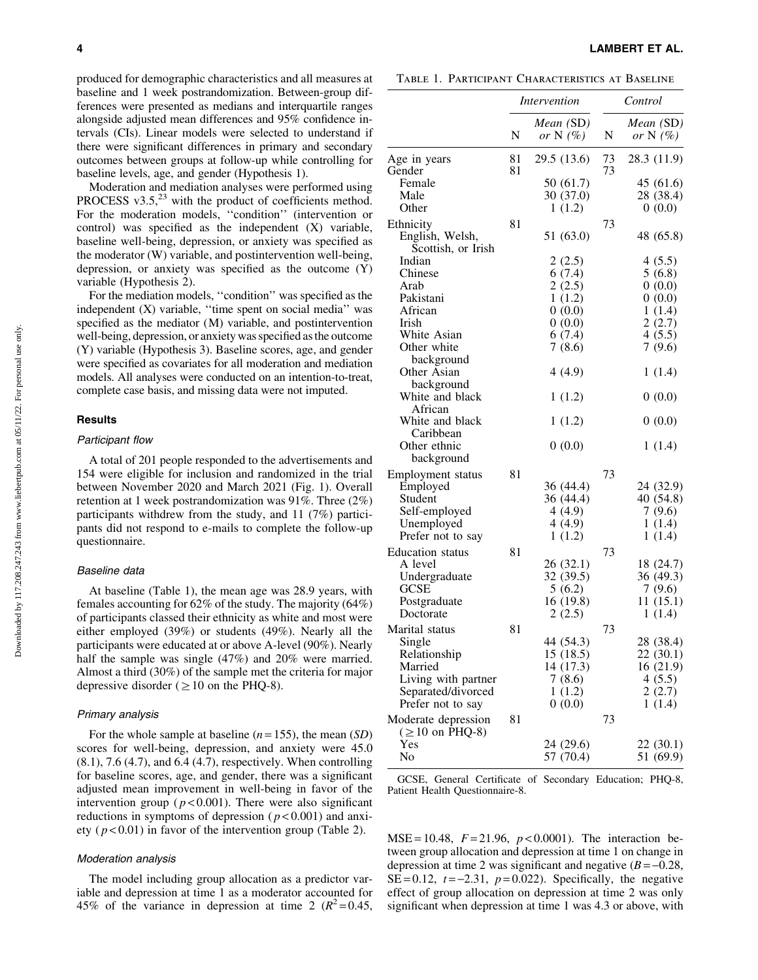produced for demographic characteristics and all measures at baseline and 1 week postrandomization. Between-group differences were presented as medians and interquartile ranges alongside adjusted mean differences and 95% confidence intervals (CIs). Linear models were selected to understand if there were significant differences in primary and secondary outcomes between groups at follow-up while controlling for baseline levels, age, and gender (Hypothesis 1).

Moderation and mediation analyses were performed using PROCESS  $v3.5$ ,<sup>23</sup> with the product of coefficients method. For the moderation models, ''condition'' (intervention or control) was specified as the independent (X) variable, baseline well-being, depression, or anxiety was specified as the moderator (W) variable, and postintervention well-being, depression, or anxiety was specified as the outcome (Y) variable (Hypothesis 2).

For the mediation models, ''condition'' was specified as the independent (X) variable, "time spent on social media" was specified as the mediator (M) variable, and postintervention well-being, depression, or anxiety was specified as the outcome (Y) variable (Hypothesis 3). Baseline scores, age, and gender were specified as covariates for all moderation and mediation models. All analyses were conducted on an intention-to-treat, complete case basis, and missing data were not imputed.

#### Results

## Participant flow

A total of 201 people responded to the advertisements and 154 were eligible for inclusion and randomized in the trial between November 2020 and March 2021 (Fig. 1). Overall retention at 1 week postrandomization was 91%. Three (2%) participants withdrew from the study, and 11 (7%) participants did not respond to e-mails to complete the follow-up questionnaire.

## Baseline data

At baseline (Table 1), the mean age was 28.9 years, with females accounting for 62% of the study. The majority (64%) of participants classed their ethnicity as white and most were either employed (39%) or students (49%). Nearly all the participants were educated at or above A-level (90%). Nearly half the sample was single (47%) and 20% were married. Almost a third (30%) of the sample met the criteria for major depressive disorder ( $\geq 10$  on the PHQ-8).

# Primary analysis

For the whole sample at baseline (*n* = 155), the mean (*SD*) scores for well-being, depression, and anxiety were 45.0 (8.1), 7.6 (4.7), and 6.4 (4.7), respectively. When controlling for baseline scores, age, and gender, there was a significant adjusted mean improvement in well-being in favor of the intervention group ( $p < 0.001$ ). There were also significant reductions in symptoms of depression ( $p < 0.001$ ) and anxiety ( $p < 0.01$ ) in favor of the intervention group (Table 2).

# Moderation analysis

The model including group allocation as a predictor variable and depression at time 1 as a moderator accounted for 45% of the variance in depression at time 2  $(R^2 = 0.45,$ 

4 LAMBERT ET AL.

Table 1. Participant Characteristics at Baseline

|                                                    |          | Intervention             | Control  |                         |  |
|----------------------------------------------------|----------|--------------------------|----------|-------------------------|--|
|                                                    | N        | Mean (SD)<br>or N $(\%)$ | N        | Mean (SD)<br>or $N(\%)$ |  |
| Age in years<br>Gender                             | 81<br>81 | 29.5 (13.6)              | 73<br>73 | 28.3 (11.9)             |  |
| Female                                             |          | 50 (61.7)                |          | 45 (61.6)               |  |
| Male                                               |          | 30 (37.0)                |          | 28 (38.4)               |  |
| Other                                              |          | 1(1.2)                   |          | 0(0.0)                  |  |
| Ethnicity<br>English, Welsh,<br>Scottish, or Irish | 81       | 51 (63.0)                | 73       | 48 (65.8)               |  |
| Indian                                             |          | 2(2.5)                   |          | 4(5.5)                  |  |
| Chinese                                            |          | 6(7.4)                   |          | 5(6.8)                  |  |
| Arab                                               |          | 2(2.5)                   |          | 0(0.0)                  |  |
| Pakistani                                          |          | 1(1.2)                   |          | 0(0.0)                  |  |
| African                                            |          | 0(0.0)                   |          | 1(1.4)                  |  |
| Irish<br>White Asian                               |          | 0(0.0)                   |          | 2(2.7)<br>4(5.5)        |  |
| Other white                                        |          | 6(7.4)<br>7(8.6)         |          | 7(9.6)                  |  |
| background                                         |          |                          |          |                         |  |
| Other Asian<br>background                          |          | 4(4.9)                   |          | 1(1.4)                  |  |
| White and black                                    |          | 1(1.2)                   |          | 0(0.0)                  |  |
| African<br>White and black<br>Caribbean            |          | 1(1.2)                   |          | 0(0.0)                  |  |
| Other ethnic<br>background                         |          | 0(0.0)                   |          | 1(1.4)                  |  |
| Employment status                                  | 81       |                          | 73       |                         |  |
| Employed                                           |          | 36 (44.4)                |          | 24 (32.9)               |  |
| Student                                            |          | 36 (44.4)                |          | 40 (54.8)               |  |
| Self-employed                                      |          | 4(4.9)                   |          | 7(9.6)                  |  |
| Unemployed                                         |          | 4(4.9)                   |          | 1(1.4)                  |  |
| Prefer not to say                                  |          | 1(1.2)                   |          | 1(1.4)                  |  |
| Education status                                   | 81       |                          | 73       |                         |  |
| A level                                            |          | 26 (32.1)                |          | 18 (24.7)               |  |
| Undergraduate<br><b>GCSE</b>                       |          | 32 (39.5)<br>5(6.2)      |          | 36 (49.3)<br>7(9.6)     |  |
| Postgraduate                                       |          | 16(19.8)                 |          | 11(15.1)                |  |
| Doctorate                                          |          | 2(2.5)                   |          | 1(1.4)                  |  |
| Marital status                                     | 81       |                          | 73       |                         |  |
| Single                                             |          | 44 (54.3)                |          | 28 (38.4)               |  |
| Relationship                                       |          | 15(18.5)                 |          | 22(30.1)                |  |
| Married                                            |          | 14 (17.3)                |          | 16(21.9)                |  |
| Living with partner                                |          | 7(8.6)                   |          | 4(5.5)                  |  |
| Separated/divorced                                 |          | 1(1.2)                   |          | 2(2.7)                  |  |
| Prefer not to say                                  |          | 0(0.0)                   |          | 1(1.4)                  |  |
| Moderate depression<br>$(\geq 10$ on PHQ-8)        | 81       |                          | 73       |                         |  |
| Yes                                                |          | 24 (29.6)                |          | 22 (30.1)               |  |
| No                                                 |          | 57 (70.4)                |          | 51 (69.9)               |  |

GCSE, General Certificate of Secondary Education; PHQ-8, Patient Health Questionnaire-8.

MSE = 10.48, *F* = 21.96, *p* < 0.0001). The interaction between group allocation and depression at time 1 on change in depression at time 2 was significant and negative  $(B = -0.28$ , SE = 0.12,  $t = -2.31$ ,  $p = 0.022$ ). Specifically, the negative effect of group allocation on depression at time 2 was only significant when depression at time 1 was 4.3 or above, with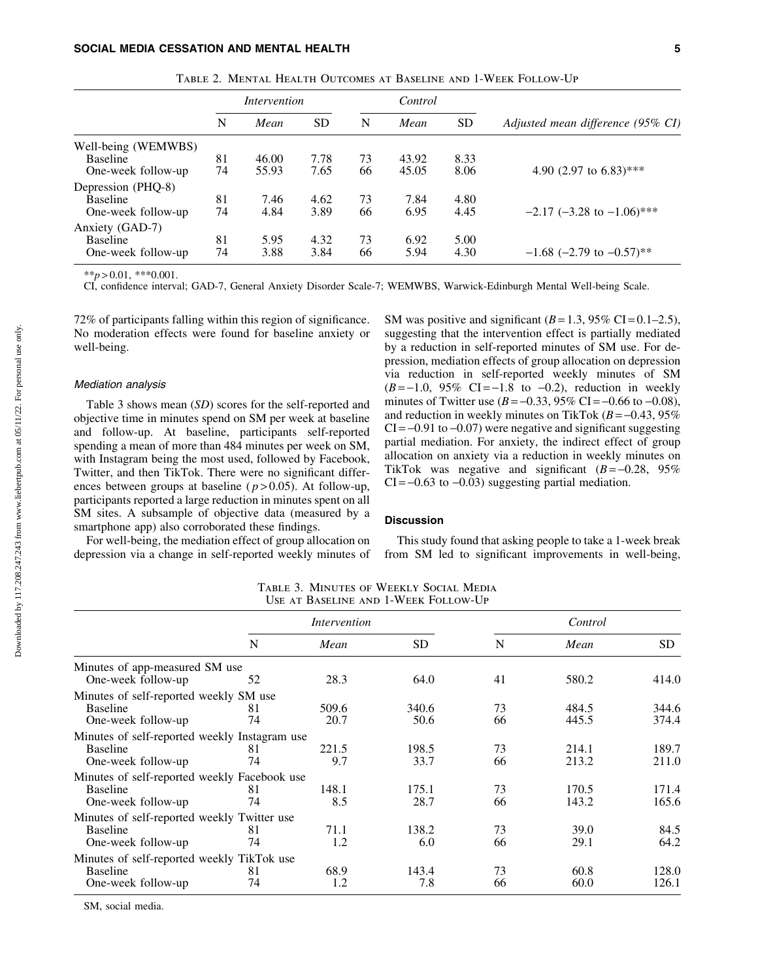|                     | Intervention |       |           | Control |       |           |                                   |
|---------------------|--------------|-------|-----------|---------|-------|-----------|-----------------------------------|
|                     | N            | Mean  | <b>SD</b> | N       | Mean  | <b>SD</b> | Adjusted mean difference (95% CI) |
| Well-being (WEMWBS) |              |       |           |         |       |           |                                   |
| Baseline            | 81           | 46.00 | 7.78      | 73      | 43.92 | 8.33      |                                   |
| One-week follow-up  | 74           | 55.93 | 7.65      | 66      | 45.05 | 8.06      | 4.90 (2.97 to 6.83)***            |
| Depression (PHQ-8)  |              |       |           |         |       |           |                                   |
| <b>Baseline</b>     | 81           | 7.46  | 4.62      | 73      | 7.84  | 4.80      |                                   |
| One-week follow-up  | 74           | 4.84  | 3.89      | 66      | 6.95  | 4.45      | $-2.17$ (-3.28 to $-1.06$ )***    |
| Anxiety (GAD-7)     |              |       |           |         |       |           |                                   |
| <b>Baseline</b>     | 81           | 5.95  | 4.32      | 73      | 6.92  | 5.00      |                                   |
| One-week follow-up  | 74           | 3.88  | 3.84      | 66      | 5.94  | 4.30      | $-1.68$ (-2.79 to $-0.57$ )**     |

Table 2. Mental Health Outcomes at Baseline and 1-Week Follow-Up

 $**p > 0.01$ , \*\*\*0.001.

CI, confidence interval; GAD-7, General Anxiety Disorder Scale-7; WEMWBS, Warwick-Edinburgh Mental Well-being Scale.

72% of participants falling within this region of significance. No moderation effects were found for baseline anxiety or well-being.

## Mediation analysis

Table 3 shows mean (*SD*) scores for the self-reported and objective time in minutes spend on SM per week at baseline and follow-up. At baseline, participants self-reported spending a mean of more than 484 minutes per week on SM, with Instagram being the most used, followed by Facebook, Twitter, and then TikTok. There were no significant differences between groups at baseline ( $p > 0.05$ ). At follow-up, participants reported a large reduction in minutes spent on all SM sites. A subsample of objective data (measured by a smartphone app) also corroborated these findings.

For well-being, the mediation effect of group allocation on depression via a change in self-reported weekly minutes of SM was positive and significant  $(B=1.3, 95\% \text{ CI} = 0.1-2.5)$ , suggesting that the intervention effect is partially mediated by a reduction in self-reported minutes of SM use. For depression, mediation effects of group allocation on depression via reduction in self-reported weekly minutes of SM  $(B=-1.0, 95\% \text{ CI}=-1.8 \text{ to } -0.2)$ , reduction in weekly minutes of Twitter use  $(B = -0.33, 95\% \text{ CI} = -0.66 \text{ to } -0.08)$ , and reduction in weekly minutes on TikTok  $(B = -0.43, 95\%$  $CI = -0.91$  to  $-0.07$ ) were negative and significant suggesting partial mediation. For anxiety, the indirect effect of group allocation on anxiety via a reduction in weekly minutes on TikTok was negative and significant  $(B = -0.28, 95\%$  $CI = -0.63$  to  $-0.03$ ) suggesting partial mediation.

## **Discussion**

This study found that asking people to take a 1-week break from SM led to significant improvements in well-being,

Table 3. Minutes of Weekly Social Media Use at Baseline and 1-Week Follow-Up

|                                               | <i>Intervention</i> |       |       | Control |             |       |  |
|-----------------------------------------------|---------------------|-------|-------|---------|-------------|-------|--|
|                                               | N                   | Mean  | SD.   | N       | Mean        | SD.   |  |
| Minutes of app-measured SM use                |                     |       |       |         |             |       |  |
| One-week follow-up                            | 52                  | 28.3  | 64.0  | 41      | 580.2       | 414.0 |  |
| Minutes of self-reported weekly SM use        |                     |       |       |         |             |       |  |
| <b>Baseline</b>                               | 81                  | 509.6 | 340.6 | 73      | 484.5       | 344.6 |  |
| One-week follow-up                            | 74                  | 20.7  | 50.6  | 66      | 445.5       | 374.4 |  |
| Minutes of self-reported weekly Instagram use |                     |       |       |         |             |       |  |
| <b>Baseline</b>                               | 81                  | 221.5 | 198.5 | 73      | 214.1       | 189.7 |  |
| One-week follow-up                            | 74                  | 9.7   | 33.7  | 66      | 213.2       | 211.0 |  |
| Minutes of self-reported weekly Facebook use  |                     |       |       |         |             |       |  |
| <b>Baseline</b>                               | 81                  | 148.1 | 175.1 | 73      | 170.5       | 171.4 |  |
| One-week follow-up                            | 74                  | 8.5   | 28.7  | 66      | 143.2       | 165.6 |  |
| Minutes of self-reported weekly Twitter use   |                     |       |       |         |             |       |  |
| <b>Baseline</b>                               | 81                  | 71.1  | 138.2 | 73      | <b>39.0</b> | 84.5  |  |
| One-week follow-up                            | 74                  | 1.2   | 6.0   | 66      | 29.1        | 64.2  |  |
| Minutes of self-reported weekly TikTok use    |                     |       |       |         |             |       |  |
| <b>Baseline</b>                               | 81                  | 68.9  | 143.4 | 73      | 60.8        | 128.0 |  |
| One-week follow-up                            | 74                  | 1.2   | 7.8   | 66      | 60.0        | 126.1 |  |

SM, social media.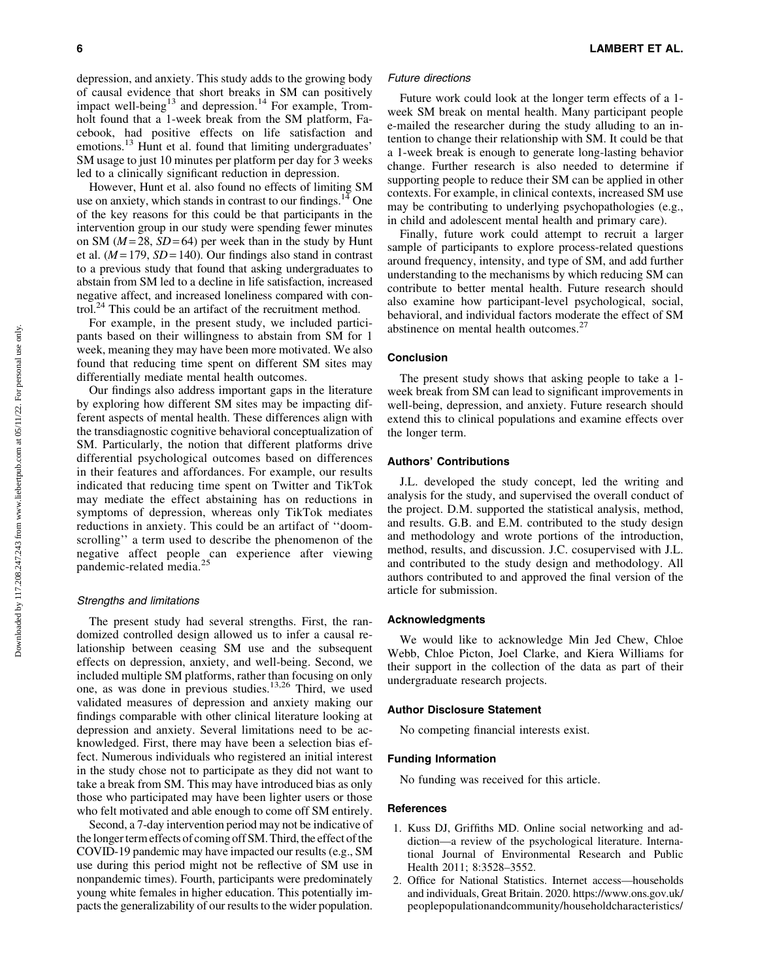depression, and anxiety. This study adds to the growing body of causal evidence that short breaks in SM can positively impact well-being<sup>13</sup> and depression.<sup>14</sup> For example, Tromholt found that a 1-week break from the SM platform, Facebook, had positive effects on life satisfaction and emotions.<sup>13</sup> Hunt et al. found that limiting undergraduates' SM usage to just 10 minutes per platform per day for 3 weeks led to a clinically significant reduction in depression.

However, Hunt et al. also found no effects of limiting SM use on anxiety, which stands in contrast to our findings.<sup>14</sup> One of the key reasons for this could be that participants in the intervention group in our study were spending fewer minutes on SM  $(M=28, SD=64)$  per week than in the study by Hunt et al.  $(M=179, SD=140)$ . Our findings also stand in contrast to a previous study that found that asking undergraduates to abstain from SM led to a decline in life satisfaction, increased negative affect, and increased loneliness compared with control.<sup>24</sup> This could be an artifact of the recruitment method.

For example, in the present study, we included participants based on their willingness to abstain from SM for 1 week, meaning they may have been more motivated. We also found that reducing time spent on different SM sites may differentially mediate mental health outcomes.

Our findings also address important gaps in the literature by exploring how different SM sites may be impacting different aspects of mental health. These differences align with the transdiagnostic cognitive behavioral conceptualization of SM. Particularly, the notion that different platforms drive differential psychological outcomes based on differences in their features and affordances. For example, our results indicated that reducing time spent on Twitter and TikTok may mediate the effect abstaining has on reductions in symptoms of depression, whereas only TikTok mediates reductions in anxiety. This could be an artifact of ''doomscrolling'' a term used to describe the phenomenon of the negative affect people can experience after viewing pandemic-related media.<sup>25</sup>

#### Strengths and limitations

The present study had several strengths. First, the randomized controlled design allowed us to infer a causal relationship between ceasing SM use and the subsequent effects on depression, anxiety, and well-being. Second, we included multiple SM platforms, rather than focusing on only one, as was done in previous studies.13,26 Third, we used validated measures of depression and anxiety making our findings comparable with other clinical literature looking at depression and anxiety. Several limitations need to be acknowledged. First, there may have been a selection bias effect. Numerous individuals who registered an initial interest in the study chose not to participate as they did not want to take a break from SM. This may have introduced bias as only those who participated may have been lighter users or those who felt motivated and able enough to come off SM entirely.

Second, a 7-day intervention period may not be indicative of the longer term effects of coming off SM. Third, the effect of the COVID-19 pandemic may have impacted our results (e.g., SM use during this period might not be reflective of SM use in nonpandemic times). Fourth, participants were predominately young white females in higher education. This potentially impacts the generalizability of our results to the wider population.

# 6 LAMBERT ET AL.

## Future directions

Future work could look at the longer term effects of a 1 week SM break on mental health. Many participant people e-mailed the researcher during the study alluding to an intention to change their relationship with SM. It could be that a 1-week break is enough to generate long-lasting behavior change. Further research is also needed to determine if supporting people to reduce their SM can be applied in other contexts. For example, in clinical contexts, increased SM use may be contributing to underlying psychopathologies (e.g., in child and adolescent mental health and primary care).

Finally, future work could attempt to recruit a larger sample of participants to explore process-related questions around frequency, intensity, and type of SM, and add further understanding to the mechanisms by which reducing SM can contribute to better mental health. Future research should also examine how participant-level psychological, social, behavioral, and individual factors moderate the effect of SM abstinence on mental health outcomes.<sup>27</sup>

#### Conclusion

The present study shows that asking people to take a 1 week break from SM can lead to significant improvements in well-being, depression, and anxiety. Future research should extend this to clinical populations and examine effects over the longer term.

## Authors' Contributions

J.L. developed the study concept, led the writing and analysis for the study, and supervised the overall conduct of the project. D.M. supported the statistical analysis, method, and results. G.B. and E.M. contributed to the study design and methodology and wrote portions of the introduction, method, results, and discussion. J.C. cosupervised with J.L. and contributed to the study design and methodology. All authors contributed to and approved the final version of the article for submission.

## Acknowledgments

We would like to acknowledge Min Jed Chew, Chloe Webb, Chloe Picton, Joel Clarke, and Kiera Williams for their support in the collection of the data as part of their undergraduate research projects.

# Author Disclosure Statement

No competing financial interests exist.

## Funding Information

No funding was received for this article.

## **References**

- 1. Kuss DJ, Griffiths MD. Online social networking and addiction—a review of the psychological literature. International Journal of Environmental Research and Public Health 2011; 8:3528–3552.
- 2. Office for National Statistics. Internet access—households and individuals, Great Britain. 2020. [https://www.ons.gov.uk/](https://www.ons.gov.uk/peoplepopulationandcommunity/householdcharacteristics/homeinternetandsocialmediausage/datasets/internetaccesshouseholdsandindividualsreferencetables) [peoplepopulationandcommunity/householdcharacteristics/](https://www.ons.gov.uk/peoplepopulationandcommunity/householdcharacteristics/homeinternetandsocialmediausage/datasets/internetaccesshouseholdsandindividualsreferencetables)